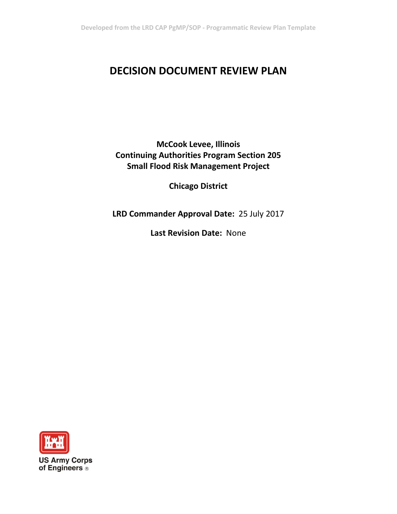# **DECISION DOCUMENT REVIEW PLAN**

**McCook Levee, Illinois Continuing Authorities Program Section 205 Small Flood Risk Management Project**

**Chicago District**

**LRD Commander Approval Date:** 25 July 2017

**Last Revision Date:** None

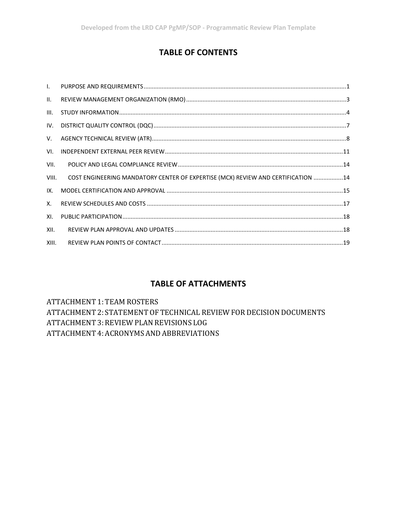# **TABLE OF CONTENTS**

| II.   |                                                                                   |  |
|-------|-----------------------------------------------------------------------------------|--|
| III.  |                                                                                   |  |
| IV.   |                                                                                   |  |
| V.    |                                                                                   |  |
| VI.   |                                                                                   |  |
| VII.  |                                                                                   |  |
| VIII. | COST ENGINEERING MANDATORY CENTER OF EXPERTISE (MCX) REVIEW AND CERTIFICATION  14 |  |
| IX.   |                                                                                   |  |
| Χ.    |                                                                                   |  |
| XI.   |                                                                                   |  |
| XII.  |                                                                                   |  |
| XIII. |                                                                                   |  |

## **TABLE OF ATTACHMENTS**

ATTACHMENT 1: TEAM ROSTERS ATTACHMENT 2: STATEMENT OF TECHNICAL REVIEW FOR DECISION DOCUMENTS ATTACHMENT 3: REVIEW PLAN REVISIONS LOG ATTACHMENT 4: ACRONYMS AND ABBREVIATIONS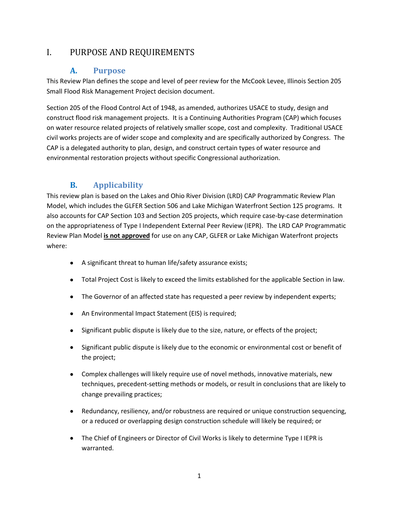## <span id="page-2-0"></span>I. PURPOSE AND REQUIREMENTS

#### **A. Purpose**

This Review Plan defines the scope and level of peer review for the McCook Levee, Illinois Section 205 Small Flood Risk Management Project decision document.

Section 205 of the Flood Control Act of 1948, as amended, authorizes USACE to study, design and construct flood risk management projects. It is a Continuing Authorities Program (CAP) which focuses on water resource related projects of relatively smaller scope, cost and complexity. Traditional USACE civil works projects are of wider scope and complexity and are specifically authorized by Congress. The CAP is a delegated authority to plan, design, and construct certain types of water resource and environmental restoration projects without specific Congressional authorization.

## **B. Applicability**

This review plan is based on the Lakes and Ohio River Division (LRD) CAP Programmatic Review Plan Model, which includes the GLFER Section 506 and Lake Michigan Waterfront Section 125 programs. It also accounts for CAP Section 103 and Section 205 projects, which require case-by-case determination on the appropriateness of Type I Independent External Peer Review (IEPR). The LRD CAP Programmatic Review Plan Model **is not approved** for use on any CAP, GLFER or Lake Michigan Waterfront projects where:

- A significant threat to human life/safety assurance exists;
- Total Project Cost is likely to exceed the limits established for the applicable Section in law.
- The Governor of an affected state has requested a peer review by independent experts;
- An Environmental Impact Statement (EIS) is required;
- Significant public dispute is likely due to the size, nature, or effects of the project;
- Significant public dispute is likely due to the economic or environmental cost or benefit of the project;
- Complex challenges will likely require use of novel methods, innovative materials, new techniques, precedent-setting methods or models, or result in conclusions that are likely to change prevailing practices;
- Redundancy, resiliency, and/or robustness are required or unique construction sequencing, or a reduced or overlapping design construction schedule will likely be required; or
- The Chief of Engineers or Director of Civil Works is likely to determine Type I IEPR is warranted.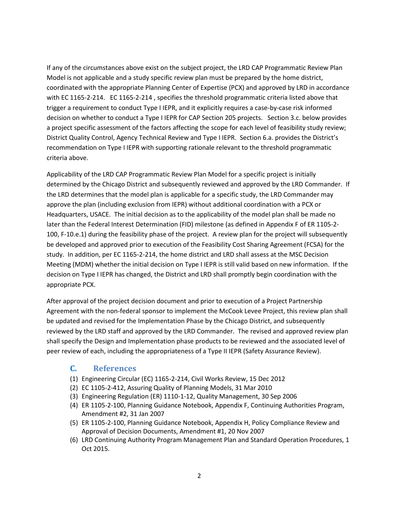If any of the circumstances above exist on the subject project, the LRD CAP Programmatic Review Plan Model is not applicable and a study specific review plan must be prepared by the home district, coordinated with the appropriate Planning Center of Expertise (PCX) and approved by LRD in accordance with EC 1165-2-214. EC 1165-2-214 , specifies the threshold programmatic criteria listed above that trigger a requirement to conduct Type I IEPR, and it explicitly requires a case-by-case risk informed decision on whether to conduct a Type I IEPR for CAP Section 205 projects. Section 3.c. below provides a project specific assessment of the factors affecting the scope for each level of feasibility study review; District Quality Control, Agency Technical Review and Type I IEPR. Section 6.a. provides the District's recommendation on Type I IEPR with supporting rationale relevant to the threshold programmatic criteria above.

Applicability of the LRD CAP Programmatic Review Plan Model for a specific project is initially determined by the Chicago District and subsequently reviewed and approved by the LRD Commander. If the LRD determines that the model plan is applicable for a specific study, the LRD Commander may approve the plan (including exclusion from IEPR) without additional coordination with a PCX or Headquarters, USACE. The initial decision as to the applicability of the model plan shall be made no later than the Federal Interest Determination (FID) milestone (as defined in Appendix F of ER 1105-2- 100, F-10.e.1) during the feasibility phase of the project. A review plan for the project will subsequently be developed and approved prior to execution of the Feasibility Cost Sharing Agreement (FCSA) for the study. In addition, per EC 1165-2-214, the home district and LRD shall assess at the MSC Decision Meeting (MDM) whether the initial decision on Type I IEPR is still valid based on new information. If the decision on Type I IEPR has changed, the District and LRD shall promptly begin coordination with the appropriate PCX.

After approval of the project decision document and prior to execution of a Project Partnership Agreement with the non-federal sponsor to implement the McCook Levee Project, this review plan shall be updated and revised for the Implementation Phase by the Chicago District, and subsequently reviewed by the LRD staff and approved by the LRD Commander. The revised and approved review plan shall specify the Design and Implementation phase products to be reviewed and the associated level of peer review of each, including the appropriateness of a Type II IEPR (Safety Assurance Review).

#### **C. References**

- (1) Engineering Circular (EC) 1165-2-214, Civil Works Review, 15 Dec 2012
- (2) EC 1105-2-412, Assuring Quality of Planning Models, 31 Mar 2010
- (3) Engineering Regulation (ER) 1110-1-12, Quality Management, 30 Sep 2006
- (4) ER 1105-2-100, Planning Guidance Notebook, Appendix F, Continuing Authorities Program, Amendment #2, 31 Jan 2007
- (5) ER 1105-2-100, Planning Guidance Notebook, Appendix H, Policy Compliance Review and Approval of Decision Documents, Amendment #1, 20 Nov 2007
- (6) LRD Continuing Authority Program Management Plan and Standard Operation Procedures, 1 Oct 2015.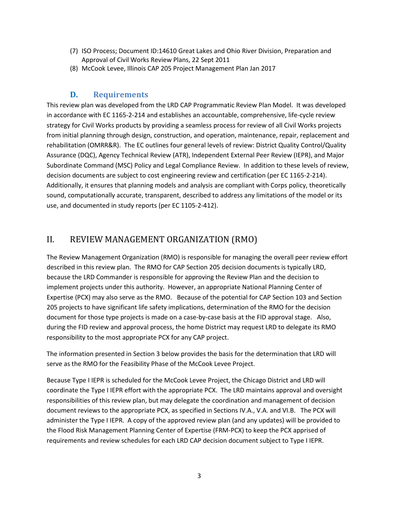- (7) ISO Process; Document ID:14610 Great Lakes and Ohio River Division, Preparation and Approval of Civil Works Review Plans, 22 Sept 2011
- (8) McCook Levee, Illinois CAP 205 Project Management Plan Jan 2017

#### **D. Requirements**

This review plan was developed from the LRD CAP Programmatic Review Plan Model. It was developed in accordance with EC 1165-2-214 and establishes an accountable, comprehensive, life-cycle review strategy for Civil Works products by providing a seamless process for review of all Civil Works projects from initial planning through design, construction, and operation, maintenance, repair, replacement and rehabilitation (OMRR&R). The EC outlines four general levels of review: District Quality Control/Quality Assurance (DQC), Agency Technical Review (ATR), Independent External Peer Review (IEPR), and Major Subordinate Command (MSC) Policy and Legal Compliance Review. In addition to these levels of review, decision documents are subject to cost engineering review and certification (per EC 1165-2-214). Additionally, it ensures that planning models and analysis are compliant with Corps policy, theoretically sound, computationally accurate, transparent, described to address any limitations of the model or its use, and documented in study reports (per EC 1105-2-412).

#### <span id="page-4-0"></span>II. REVIEW MANAGEMENT ORGANIZATION (RMO)

The Review Management Organization (RMO) is responsible for managing the overall peer review effort described in this review plan. The RMO for CAP Section 205 decision documents is typically LRD, because the LRD Commander is responsible for approving the Review Plan and the decision to implement projects under this authority. However, an appropriate National Planning Center of Expertise (PCX) may also serve as the RMO. Because of the potential for CAP Section 103 and Section 205 projects to have significant life safety implications, determination of the RMO for the decision document for those type projects is made on a case-by-case basis at the FID approval stage. Also, during the FID review and approval process, the home District may request LRD to delegate its RMO responsibility to the most appropriate PCX for any CAP project.

The information presented in Section 3 below provides the basis for the determination that LRD will serve as the RMO for the Feasibility Phase of the McCook Levee Project.

Because Type I IEPR is scheduled for the McCook Levee Project, the Chicago District and LRD will coordinate the Type I IEPR effort with the appropriate PCX. The LRD maintains approval and oversight responsibilities of this review plan, but may delegate the coordination and management of decision document reviews to the appropriate PCX, as specified in Sections IV.A., V.A. and VI.B. The PCX will administer the Type I IEPR. A copy of the approved review plan (and any updates) will be provided to the Flood Risk Management Planning Center of Expertise (FRM-PCX) to keep the PCX apprised of requirements and review schedules for each LRD CAP decision document subject to Type I IEPR.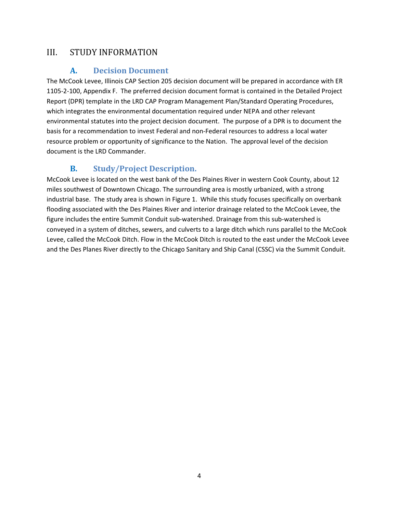#### <span id="page-5-0"></span>III. STUDY INFORMATION

#### **A. Decision Document**

The McCook Levee, Illinois CAP Section 205 decision document will be prepared in accordance with ER 1105-2-100, Appendix F. The preferred decision document format is contained in the Detailed Project Report (DPR) template in the LRD CAP Program Management Plan/Standard Operating Procedures, which integrates the environmental documentation required under NEPA and other relevant environmental statutes into the project decision document. The purpose of a DPR is to document the basis for a recommendation to invest Federal and non-Federal resources to address a local water resource problem or opportunity of significance to the Nation. The approval level of the decision document is the LRD Commander.

#### **B. Study/Project Description.**

McCook Levee is located on the west bank of the Des Plaines River in western Cook County, about 12 miles southwest of Downtown Chicago. The surrounding area is mostly urbanized, with a strong industrial base. The study area is shown in Figure 1. While this study focuses specifically on overbank flooding associated with the Des Plaines River and interior drainage related to the McCook Levee, the figure includes the entire Summit Conduit sub-watershed. Drainage from this sub-watershed is conveyed in a system of ditches, sewers, and culverts to a large ditch which runs parallel to the McCook Levee, called the McCook Ditch. Flow in the McCook Ditch is routed to the east under the McCook Levee and the Des Planes River directly to the Chicago Sanitary and Ship Canal (CSSC) via the Summit Conduit.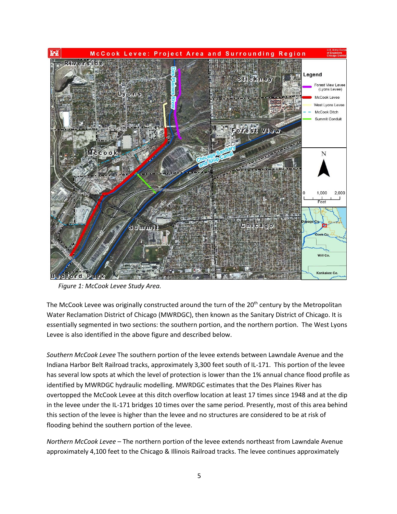

*Figure 1: McCook Levee Study Area.*

The McCook Levee was originally constructed around the turn of the  $20<sup>th</sup>$  century by the Metropolitan Water Reclamation District of Chicago (MWRDGC), then known as the Sanitary District of Chicago. It is essentially segmented in two sections: the southern portion, and the northern portion. The West Lyons Levee is also identified in the above figure and described below.

*Southern McCook Levee* The southern portion of the levee extends between Lawndale Avenue and the Indiana Harbor Belt Railroad tracks, approximately 3,300 feet south of IL-171. This portion of the levee has several low spots at which the level of protection is lower than the 1% annual chance flood profile as identified by MWRDGC hydraulic modelling. MWRDGC estimates that the Des Plaines River has overtopped the McCook Levee at this ditch overflow location at least 17 times since 1948 and at the dip in the levee under the IL-171 bridges 10 times over the same period. Presently, most of this area behind this section of the levee is higher than the levee and no structures are considered to be at risk of flooding behind the southern portion of the levee.

*Northern McCook Levee –* The northern portion of the levee extends northeast from Lawndale Avenue approximately 4,100 feet to the Chicago & Illinois Railroad tracks. The levee continues approximately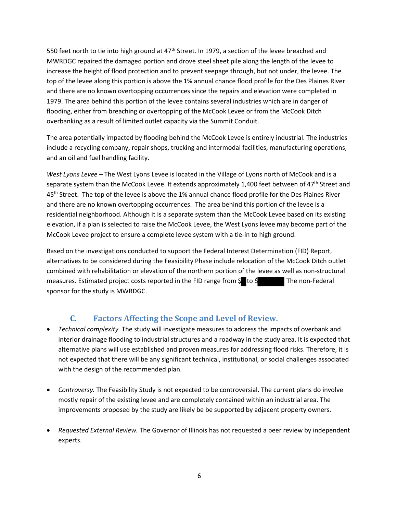550 feet north to tie into high ground at 47<sup>th</sup> Street. In 1979, a section of the levee breached and MWRDGC repaired the damaged portion and drove steel sheet pile along the length of the levee to increase the height of flood protection and to prevent seepage through, but not under, the levee. The top of the levee along this portion is above the 1% annual chance flood profile for the Des Plaines River and there are no known overtopping occurrences since the repairs and elevation were completed in 1979. The area behind this portion of the levee contains several industries which are in danger of flooding, either from breaching or overtopping of the McCook Levee or from the McCook Ditch overbanking as a result of limited outlet capacity via the Summit Conduit.

The area potentially impacted by flooding behind the McCook Levee is entirely industrial. The industries include a recycling company, repair shops, trucking and intermodal facilities, manufacturing operations, and an oil and fuel handling facility.

*West Lyons Levee –* The West Lyons Levee is located in the Village of Lyons north of McCook and is a separate system than the McCook Levee. It extends approximately 1,400 feet between of  $47<sup>th</sup>$  Street and 45<sup>th</sup> Street. The top of the levee is above the 1% annual chance flood profile for the Des Plaines River and there are no known overtopping occurrences. The area behind this portion of the levee is a residential neighborhood. Although it is a separate system than the McCook Levee based on its existing elevation, if a plan is selected to raise the McCook Levee, the West Lyons levee may become part of the McCook Levee project to ensure a complete levee system with a tie-in to high ground.

Based on the investigations conducted to support the Federal Interest Determination (FID) Report, alternatives to be considered during the Feasibility Phase include relocation of the McCook Ditch outlet combined with rehabilitation or elevation of the northern portion of the levee as well as non-structural measures. Estimated project costs reported in the FID range from  $\frac{6}{5}$  to  $\frac{6}{5}$  The non-Federal sponsor for the study is MWRDGC.

#### **C. Factors Affecting the Scope and Level of Review.**

- *Technical complexity.* The study will investigate measures to address the impacts of overbank and interior drainage flooding to industrial structures and a roadway in the study area. It is expected that alternative plans will use established and proven measures for addressing flood risks. Therefore, it is not expected that there will be any significant technical, institutional, or social challenges associated with the design of the recommended plan.
- *Controversy.* The Feasibility Study is not expected to be controversial. The current plans do involve mostly repair of the existing levee and are completely contained within an industrial area. The improvements proposed by the study are likely be be supported by adjacent property owners.
- *Requested External Review.* The Governor of Illinois has not requested a peer review by independent experts.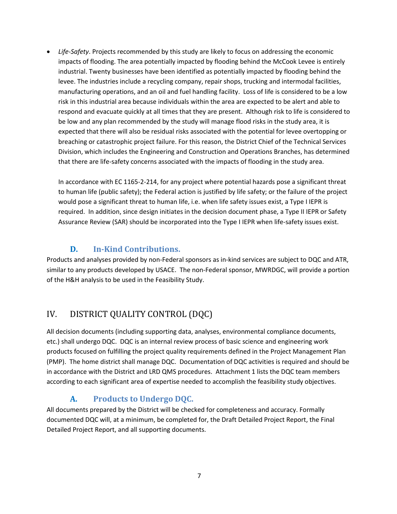• *Life-Safety*. Projects recommended by this study are likely to focus on addressing the economic impacts of flooding. The area potentially impacted by flooding behind the McCook Levee is entirely industrial. Twenty businesses have been identified as potentially impacted by flooding behind the levee. The industries include a recycling company, repair shops, trucking and intermodal facilities, manufacturing operations, and an oil and fuel handling facility. Loss of life is considered to be a low risk in this industrial area because individuals within the area are expected to be alert and able to respond and evacuate quickly at all times that they are present. Although risk to life is considered to be low and any plan recommended by the study will manage flood risks in the study area, it is expected that there will also be residual risks associated with the potential for levee overtopping or breaching or catastrophic project failure. For this reason, the District Chief of the Technical Services Division, which includes the Engineering and Construction and Operations Branches, has determined that there are life-safety concerns associated with the impacts of flooding in the study area.

In accordance with EC 1165-2-214, for any project where potential hazards pose a significant threat to human life (public safety); the Federal action is justified by life safety; or the failure of the project would pose a significant threat to human life, i.e. when life safety issues exist, a Type I IEPR is required. In addition, since design initiates in the decision document phase, a Type II IEPR or Safety Assurance Review (SAR) should be incorporated into the Type I IEPR when life-safety issues exist.

#### **D. In-Kind Contributions.**

Products and analyses provided by non-Federal sponsors as in-kind services are subject to DQC and ATR, similar to any products developed by USACE. The non-Federal sponsor, MWRDGC, will provide a portion of the H&H analysis to be used in the Feasibility Study.

# <span id="page-8-0"></span>IV. DISTRICT QUALITY CONTROL (DQC)

All decision documents (including supporting data, analyses, environmental compliance documents, etc.) shall undergo DQC. DQC is an internal review process of basic science and engineering work products focused on fulfilling the project quality requirements defined in the Project Management Plan (PMP). The home district shall manage DQC. Documentation of DQC activities is required and should be in accordance with the District and LRD QMS procedures. Attachment 1 lists the DQC team members according to each significant area of expertise needed to accomplish the feasibility study objectives.

## **A. Products to Undergo DQC.**

All documents prepared by the District will be checked for completeness and accuracy. Formally documented DQC will, at a minimum, be completed for, the Draft Detailed Project Report, the Final Detailed Project Report, and all supporting documents.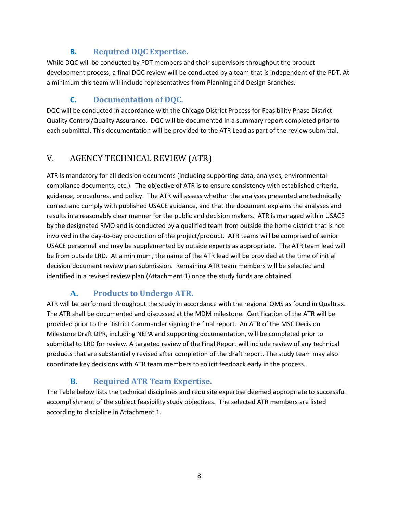#### **B. Required DQC Expertise.**

While DQC will be conducted by PDT members and their supervisors throughout the product development process, a final DQC review will be conducted by a team that is independent of the PDT. At a minimum this team will include representatives from Planning and Design Branches.

# **C. Documentation of DQC.**

DQC will be conducted in accordance with the Chicago District Process for Feasibility Phase District Quality Control/Quality Assurance. DQC will be documented in a summary report completed prior to each submittal. This documentation will be provided to the ATR Lead as part of the review submittal.

# <span id="page-9-0"></span>V. AGENCY TECHNICAL REVIEW (ATR)

ATR is mandatory for all decision documents (including supporting data, analyses, environmental compliance documents, etc.). The objective of ATR is to ensure consistency with established criteria, guidance, procedures, and policy. The ATR will assess whether the analyses presented are technically correct and comply with published USACE guidance, and that the document explains the analyses and results in a reasonably clear manner for the public and decision makers. ATR is managed within USACE by the designated RMO and is conducted by a qualified team from outside the home district that is not involved in the day-to-day production of the project/product. ATR teams will be comprised of senior USACE personnel and may be supplemented by outside experts as appropriate. The ATR team lead will be from outside LRD. At a minimum, the name of the ATR lead will be provided at the time of initial decision document review plan submission. Remaining ATR team members will be selected and identified in a revised review plan (Attachment 1) once the study funds are obtained.

## **A. Products to Undergo ATR.**

ATR will be performed throughout the study in accordance with the regional QMS as found in Qualtrax. The ATR shall be documented and discussed at the MDM milestone. Certification of the ATR will be provided prior to the District Commander signing the final report. An ATR of the MSC Decision Milestone Draft DPR, including NEPA and supporting documentation, will be completed prior to submittal to LRD for review. A targeted review of the Final Report will include review of any technical products that are substantially revised after completion of the draft report. The study team may also coordinate key decisions with ATR team members to solicit feedback early in the process.

## **B. Required ATR Team Expertise.**

The Table below lists the technical disciplines and requisite expertise deemed appropriate to successful accomplishment of the subject feasibility study objectives. The selected ATR members are listed according to discipline in Attachment 1.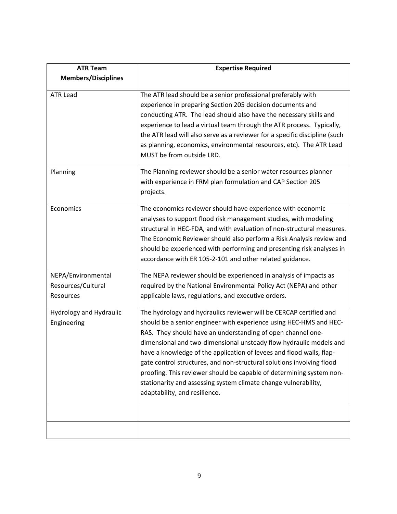| <b>ATR Team</b>                                       | <b>Expertise Required</b>                                                                                                                                                                                                                                                                                                                                                                                                                                                                                                                                                                                  |
|-------------------------------------------------------|------------------------------------------------------------------------------------------------------------------------------------------------------------------------------------------------------------------------------------------------------------------------------------------------------------------------------------------------------------------------------------------------------------------------------------------------------------------------------------------------------------------------------------------------------------------------------------------------------------|
| <b>Members/Disciplines</b>                            |                                                                                                                                                                                                                                                                                                                                                                                                                                                                                                                                                                                                            |
| <b>ATR Lead</b>                                       | The ATR lead should be a senior professional preferably with<br>experience in preparing Section 205 decision documents and<br>conducting ATR. The lead should also have the necessary skills and<br>experience to lead a virtual team through the ATR process. Typically,<br>the ATR lead will also serve as a reviewer for a specific discipline (such<br>as planning, economics, environmental resources, etc). The ATR Lead<br>MUST be from outside LRD.                                                                                                                                                |
| Planning                                              | The Planning reviewer should be a senior water resources planner<br>with experience in FRM plan formulation and CAP Section 205<br>projects.                                                                                                                                                                                                                                                                                                                                                                                                                                                               |
| Economics                                             | The economics reviewer should have experience with economic<br>analyses to support flood risk management studies, with modeling<br>structural in HEC-FDA, and with evaluation of non-structural measures.<br>The Economic Reviewer should also perform a Risk Analysis review and<br>should be experienced with performing and presenting risk analyses in<br>accordance with ER 105-2-101 and other related guidance.                                                                                                                                                                                     |
| NEPA/Environmental<br>Resources/Cultural<br>Resources | The NEPA reviewer should be experienced in analysis of impacts as<br>required by the National Environmental Policy Act (NEPA) and other<br>applicable laws, regulations, and executive orders.                                                                                                                                                                                                                                                                                                                                                                                                             |
| Hydrology and Hydraulic<br>Engineering                | The hydrology and hydraulics reviewer will be CERCAP certified and<br>should be a senior engineer with experience using HEC-HMS and HEC-<br>RAS. They should have an understanding of open channel one-<br>dimensional and two-dimensional unsteady flow hydraulic models and<br>have a knowledge of the application of levees and flood walls, flap-<br>gate control structures, and non-structural solutions involving flood<br>proofing. This reviewer should be capable of determining system non-<br>stationarity and assessing system climate change vulnerability,<br>adaptability, and resilience. |
|                                                       |                                                                                                                                                                                                                                                                                                                                                                                                                                                                                                                                                                                                            |
|                                                       |                                                                                                                                                                                                                                                                                                                                                                                                                                                                                                                                                                                                            |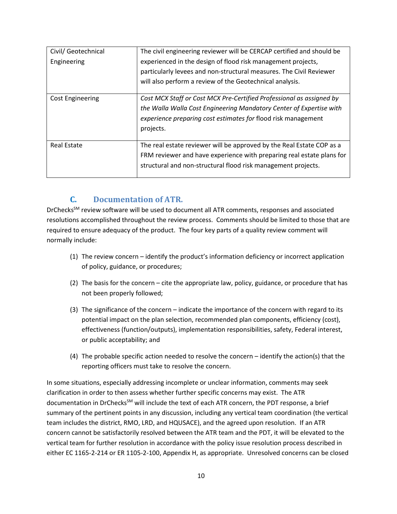| Civil/ Geotechnical     | The civil engineering reviewer will be CERCAP certified and should be |
|-------------------------|-----------------------------------------------------------------------|
| Engineering             | experienced in the design of flood risk management projects,          |
|                         | particularly levees and non-structural measures. The Civil Reviewer   |
|                         | will also perform a review of the Geotechnical analysis.              |
| <b>Cost Engineering</b> | Cost MCX Staff or Cost MCX Pre-Certified Professional as assigned by  |
|                         | the Walla Walla Cost Engineering Mandatory Center of Expertise with   |
|                         | experience preparing cost estimates for flood risk management         |
|                         | projects.                                                             |
|                         |                                                                       |
| <b>Real Estate</b>      | The real estate reviewer will be approved by the Real Estate COP as a |
|                         | FRM reviewer and have experience with preparing real estate plans for |
|                         | structural and non-structural flood risk management projects.         |
|                         |                                                                       |

#### **C. Documentation of ATR.**

DrChecks<sup>SM</sup> review software will be used to document all ATR comments, responses and associated resolutions accomplished throughout the review process. Comments should be limited to those that are required to ensure adequacy of the product. The four key parts of a quality review comment will normally include:

- (1) The review concern identify the product's information deficiency or incorrect application of policy, guidance, or procedures;
- (2) The basis for the concern cite the appropriate law, policy, guidance, or procedure that has not been properly followed;
- (3) The significance of the concern indicate the importance of the concern with regard to its potential impact on the plan selection, recommended plan components, efficiency (cost), effectiveness (function/outputs), implementation responsibilities, safety, Federal interest, or public acceptability; and
- (4) The probable specific action needed to resolve the concern identify the action(s) that the reporting officers must take to resolve the concern.

In some situations, especially addressing incomplete or unclear information, comments may seek clarification in order to then assess whether further specific concerns may exist. The ATR documentation in DrChecks<sup>SM</sup> will include the text of each ATR concern, the PDT response, a brief summary of the pertinent points in any discussion, including any vertical team coordination (the vertical team includes the district, RMO, LRD, and HQUSACE), and the agreed upon resolution. If an ATR concern cannot be satisfactorily resolved between the ATR team and the PDT, it will be elevated to the vertical team for further resolution in accordance with the policy issue resolution process described in either EC 1165-2-214 or ER 1105-2-100, Appendix H, as appropriate. Unresolved concerns can be closed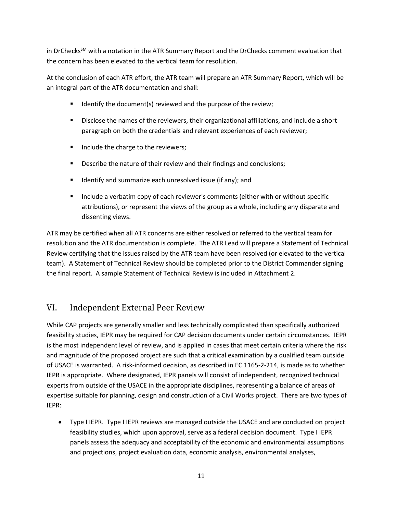in DrChecks<sup>SM</sup> with a notation in the ATR Summary Report and the DrChecks comment evaluation that the concern has been elevated to the vertical team for resolution.

At the conclusion of each ATR effort, the ATR team will prepare an ATR Summary Report, which will be an integral part of the ATR documentation and shall:

- $\blacksquare$  Identify the document(s) reviewed and the purpose of the review;
- **Disclose the names of the reviewers, their organizational affiliations, and include a short** paragraph on both the credentials and relevant experiences of each reviewer;
- Include the charge to the reviewers;
- **Describe the nature of their review and their findings and conclusions;**
- **If identify and summarize each unresolved issue (if any); and**
- **Include a verbatim copy of each reviewer's comments (either with or without specific** attributions), or represent the views of the group as a whole, including any disparate and dissenting views.

ATR may be certified when all ATR concerns are either resolved or referred to the vertical team for resolution and the ATR documentation is complete. The ATR Lead will prepare a Statement of Technical Review certifying that the issues raised by the ATR team have been resolved (or elevated to the vertical team). A Statement of Technical Review should be completed prior to the District Commander signing the final report. A sample Statement of Technical Review is included in Attachment 2.

## <span id="page-12-0"></span>VI. Independent External Peer Review

While CAP projects are generally smaller and less technically complicated than specifically authorized feasibility studies, IEPR may be required for CAP decision documents under certain circumstances. IEPR is the most independent level of review, and is applied in cases that meet certain criteria where the risk and magnitude of the proposed project are such that a critical examination by a qualified team outside of USACE is warranted. A risk-informed decision, as described in EC 1165-2-214, is made as to whether IEPR is appropriate. Where designated, IEPR panels will consist of independent, recognized technical experts from outside of the USACE in the appropriate disciplines, representing a balance of areas of expertise suitable for planning, design and construction of a Civil Works project. There are two types of IEPR:

• Type I IEPR. Type I IEPR reviews are managed outside the USACE and are conducted on project feasibility studies, which upon approval, serve as a federal decision document. Type I IEPR panels assess the adequacy and acceptability of the economic and environmental assumptions and projections, project evaluation data, economic analysis, environmental analyses,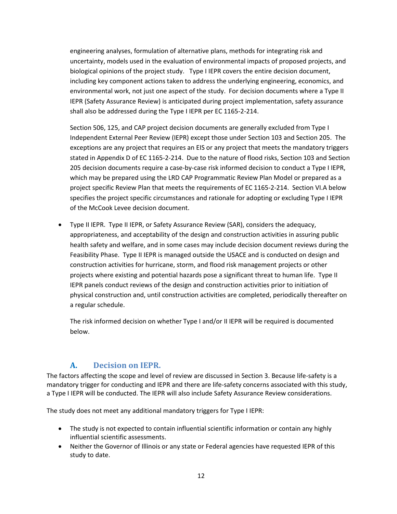engineering analyses, formulation of alternative plans, methods for integrating risk and uncertainty, models used in the evaluation of environmental impacts of proposed projects, and biological opinions of the project study. Type I IEPR covers the entire decision document, including key component actions taken to address the underlying engineering, economics, and environmental work, not just one aspect of the study. For decision documents where a Type II IEPR (Safety Assurance Review) is anticipated during project implementation, safety assurance shall also be addressed during the Type I IEPR per EC 1165-2-214.

Section 506, 125, and CAP project decision documents are generally excluded from Type I Independent External Peer Review (IEPR) except those under Section 103 and Section 205. The exceptions are any project that requires an EIS or any project that meets the mandatory triggers stated in Appendix D of EC 1165-2-214. Due to the nature of flood risks, Section 103 and Section 205 decision documents require a case-by-case risk informed decision to conduct a Type I IEPR, which may be prepared using the LRD CAP Programmatic Review Plan Model or prepared as a project specific Review Plan that meets the requirements of EC 1165-2-214. Section VI.A below specifies the project specific circumstances and rationale for adopting or excluding Type I IEPR of the McCook Levee decision document.

• Type II IEPR. Type II IEPR, or Safety Assurance Review (SAR), considers the adequacy, appropriateness, and acceptability of the design and construction activities in assuring public health safety and welfare, and in some cases may include decision document reviews during the Feasibility Phase. Type II IEPR is managed outside the USACE and is conducted on design and construction activities for hurricane, storm, and flood risk management projects or other projects where existing and potential hazards pose a significant threat to human life. Type II IEPR panels conduct reviews of the design and construction activities prior to initiation of physical construction and, until construction activities are completed, periodically thereafter on a regular schedule.

The risk informed decision on whether Type I and/or II IEPR will be required is documented below.

#### **A. Decision on IEPR.**

The factors affecting the scope and level of review are discussed in Section 3. Because life-safety is a mandatory trigger for conducting and IEPR and there are life-safety concerns associated with this study, a Type I IEPR will be conducted. The IEPR will also include Safety Assurance Review considerations.

The study does not meet any additional mandatory triggers for Type I IEPR:

- The study is not expected to contain influential scientific information or contain any highly influential scientific assessments.
- Neither the Governor of Illinois or any state or Federal agencies have requested IEPR of this study to date.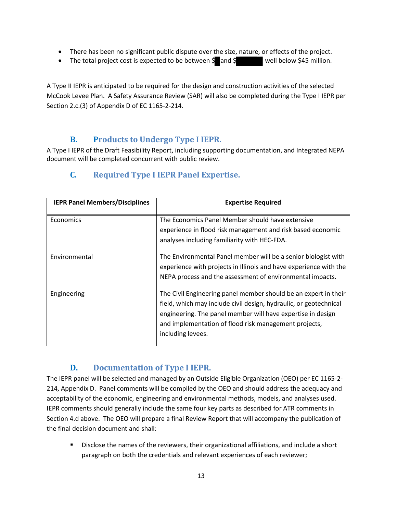- There has been no significant public dispute over the size, nature, or effects of the project.
- The total project cost is expected to be between  $\frac{1}{2}$  and  $\frac{1}{2}$  well below \$45 million.

A Type II IEPR is anticipated to be required for the design and construction activities of the selected McCook Levee Plan. A Safety Assurance Review (SAR) will also be completed during the Type I IEPR per Section 2.c.(3) of Appendix D of EC 1165-2-214.

#### **B. Products to Undergo Type I IEPR.**

A Type I IEPR of the Draft Feasibility Report, including supporting documentation, and Integrated NEPA document will be completed concurrent with public review.

| <b>IEPR Panel Members/Disciplines</b> | <b>Expertise Required</b>                                                                                                                                                                                                                                                         |
|---------------------------------------|-----------------------------------------------------------------------------------------------------------------------------------------------------------------------------------------------------------------------------------------------------------------------------------|
| Economics                             | The Economics Panel Member should have extensive<br>experience in flood risk management and risk based economic<br>analyses including familiarity with HEC-FDA.                                                                                                                   |
| Environmental                         | The Environmental Panel member will be a senior biologist with<br>experience with projects in Illinois and have experience with the<br>NEPA process and the assessment of environmental impacts.                                                                                  |
| Engineering                           | The Civil Engineering panel member should be an expert in their<br>field, which may include civil design, hydraulic, or geotechnical<br>engineering. The panel member will have expertise in design<br>and implementation of flood risk management projects,<br>including levees. |

#### **C. Required Type I IEPR Panel Expertise.**

#### **D. Documentation of Type I IEPR.**

The IEPR panel will be selected and managed by an Outside Eligible Organization (OEO) per EC 1165-2- 214, Appendix D. Panel comments will be compiled by the OEO and should address the adequacy and acceptability of the economic, engineering and environmental methods, models, and analyses used. IEPR comments should generally include the same four key parts as described for ATR comments in Section 4.d above. The OEO will prepare a final Review Report that will accompany the publication of the final decision document and shall:

**Disclose the names of the reviewers, their organizational affiliations, and include a short** paragraph on both the credentials and relevant experiences of each reviewer;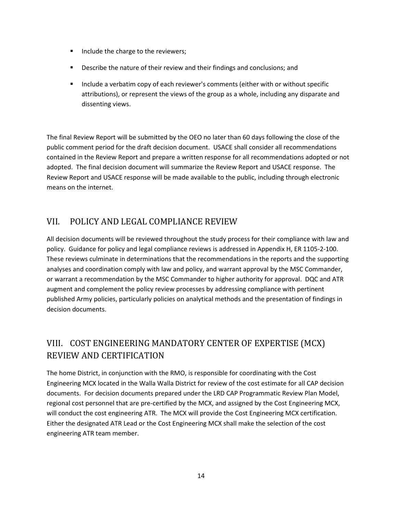- Include the charge to the reviewers;
- **Describe the nature of their review and their findings and conclusions; and**
- **Include a verbatim copy of each reviewer's comments (either with or without specific** attributions), or represent the views of the group as a whole, including any disparate and dissenting views.

The final Review Report will be submitted by the OEO no later than 60 days following the close of the public comment period for the draft decision document. USACE shall consider all recommendations contained in the Review Report and prepare a written response for all recommendations adopted or not adopted. The final decision document will summarize the Review Report and USACE response. The Review Report and USACE response will be made available to the public, including through electronic means on the internet.

#### <span id="page-15-0"></span>VII. POLICY AND LEGAL COMPLIANCE REVIEW

All decision documents will be reviewed throughout the study process for their compliance with law and policy. Guidance for policy and legal compliance reviews is addressed in Appendix H, ER 1105-2-100. These reviews culminate in determinations that the recommendations in the reports and the supporting analyses and coordination comply with law and policy, and warrant approval by the MSC Commander, or warrant a recommendation by the MSC Commander to higher authority for approval. DQC and ATR augment and complement the policy review processes by addressing compliance with pertinent published Army policies, particularly policies on analytical methods and the presentation of findings in decision documents.

# <span id="page-15-1"></span>VIII. COST ENGINEERING MANDATORY CENTER OF EXPERTISE (MCX) REVIEW AND CERTIFICATION

The home District, in conjunction with the RMO, is responsible for coordinating with the Cost Engineering MCX located in the Walla Walla District for review of the cost estimate for all CAP decision documents. For decision documents prepared under the LRD CAP Programmatic Review Plan Model, regional cost personnel that are pre-certified by the MCX, and assigned by the Cost Engineering MCX, will conduct the cost engineering ATR. The MCX will provide the Cost Engineering MCX certification. Either the designated ATR Lead or the Cost Engineering MCX shall make the selection of the cost engineering ATR team member.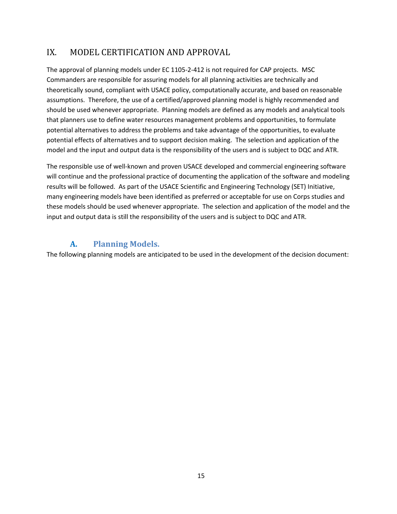## <span id="page-16-0"></span>IX. MODEL CERTIFICATION AND APPROVAL

The approval of planning models under EC 1105-2-412 is not required for CAP projects. MSC Commanders are responsible for assuring models for all planning activities are technically and theoretically sound, compliant with USACE policy, computationally accurate, and based on reasonable assumptions. Therefore, the use of a certified/approved planning model is highly recommended and should be used whenever appropriate. Planning models are defined as any models and analytical tools that planners use to define water resources management problems and opportunities, to formulate potential alternatives to address the problems and take advantage of the opportunities, to evaluate potential effects of alternatives and to support decision making. The selection and application of the model and the input and output data is the responsibility of the users and is subject to DQC and ATR.

The responsible use of well-known and proven USACE developed and commercial engineering software will continue and the professional practice of documenting the application of the software and modeling results will be followed. As part of the USACE Scientific and Engineering Technology (SET) Initiative, many engineering models have been identified as preferred or acceptable for use on Corps studies and these models should be used whenever appropriate. The selection and application of the model and the input and output data is still the responsibility of the users and is subject to DQC and ATR.

#### **A. Planning Models.**

The following planning models are anticipated to be used in the development of the decision document: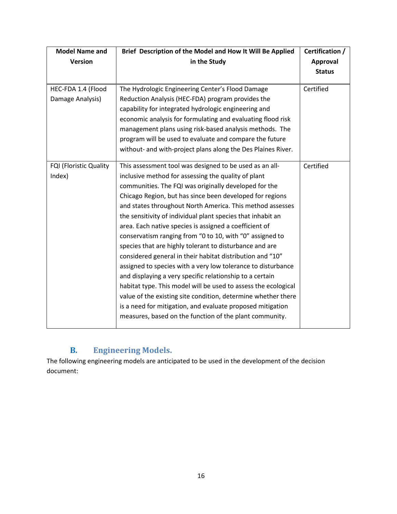| <b>Model Name and</b>  | Brief Description of the Model and How It Will Be Applied      | Certification / |
|------------------------|----------------------------------------------------------------|-----------------|
| <b>Version</b>         | in the Study                                                   | <b>Approval</b> |
|                        |                                                                | <b>Status</b>   |
|                        |                                                                |                 |
| HEC-FDA 1.4 (Flood     | The Hydrologic Engineering Center's Flood Damage               | Certified       |
| Damage Analysis)       | Reduction Analysis (HEC-FDA) program provides the              |                 |
|                        | capability for integrated hydrologic engineering and           |                 |
|                        | economic analysis for formulating and evaluating flood risk    |                 |
|                        | management plans using risk-based analysis methods. The        |                 |
|                        | program will be used to evaluate and compare the future        |                 |
|                        | without- and with-project plans along the Des Plaines River.   |                 |
| FQI (Floristic Quality | This assessment tool was designed to be used as an all-        | Certified       |
| Index)                 | inclusive method for assessing the quality of plant            |                 |
|                        | communities. The FQI was originally developed for the          |                 |
|                        | Chicago Region, but has since been developed for regions       |                 |
|                        | and states throughout North America. This method assesses      |                 |
|                        | the sensitivity of individual plant species that inhabit an    |                 |
|                        | area. Each native species is assigned a coefficient of         |                 |
|                        | conservatism ranging from "0 to 10, with "0" assigned to       |                 |
|                        | species that are highly tolerant to disturbance and are        |                 |
|                        | considered general in their habitat distribution and "10"      |                 |
|                        | assigned to species with a very low tolerance to disturbance   |                 |
|                        | and displaying a very specific relationship to a certain       |                 |
|                        | habitat type. This model will be used to assess the ecological |                 |
|                        | value of the existing site condition, determine whether there  |                 |
|                        | is a need for mitigation, and evaluate proposed mitigation     |                 |
|                        | measures, based on the function of the plant community.        |                 |
|                        |                                                                |                 |

# **B. Engineering Models.**

The following engineering models are anticipated to be used in the development of the decision document: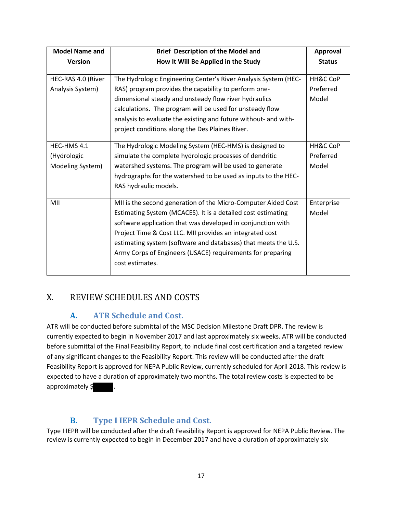| <b>Model Name and</b> | <b>Brief Description of the Model and</b>                       | <b>Approval</b>     |
|-----------------------|-----------------------------------------------------------------|---------------------|
| <b>Version</b>        | How It Will Be Applied in the Study                             | <b>Status</b>       |
| HEC-RAS 4.0 (River    | The Hydrologic Engineering Center's River Analysis System (HEC- | HH&C CoP            |
| Analysis System)      | RAS) program provides the capability to perform one-            | Preferred           |
|                       | dimensional steady and unsteady flow river hydraulics           | Model               |
|                       | calculations. The program will be used for unsteady flow        |                     |
|                       | analysis to evaluate the existing and future without- and with- |                     |
|                       | project conditions along the Des Plaines River.                 |                     |
|                       |                                                                 |                     |
| HEC-HMS 4.1           | The Hydrologic Modeling System (HEC-HMS) is designed to         | <b>HH&amp;C CoP</b> |
| (Hydrologic           | simulate the complete hydrologic processes of dendritic         | Preferred           |
| Modeling System)      | watershed systems. The program will be used to generate         | Model               |
|                       | hydrographs for the watershed to be used as inputs to the HEC-  |                     |
|                       | RAS hydraulic models.                                           |                     |
|                       |                                                                 |                     |
| MII                   | MII is the second generation of the Micro-Computer Aided Cost   | Enterprise          |
|                       | Estimating System (MCACES). It is a detailed cost estimating    | Model               |
|                       | software application that was developed in conjunction with     |                     |
|                       | Project Time & Cost LLC. MII provides an integrated cost        |                     |
|                       | estimating system (software and databases) that meets the U.S.  |                     |
|                       | Army Corps of Engineers (USACE) requirements for preparing      |                     |
|                       | cost estimates.                                                 |                     |
|                       |                                                                 |                     |

# <span id="page-18-0"></span>X. REVIEW SCHEDULES AND COSTS

#### **A. ATR Schedule and Cost.**

ATR will be conducted before submittal of the MSC Decision Milestone Draft DPR. The review is currently expected to begin in November 2017 and last approximately six weeks. ATR will be conducted before submittal of the Final Feasibility Report, to include final cost certification and a targeted review of any significant changes to the Feasibility Report. This review will be conducted after the draft Feasibility Report is approved for NEPA Public Review, currently scheduled for April 2018. This review is expected to have a duration of approximately two months. The total review costs is expected to be approximately  $\oint$  .

## **B. Type I IEPR Schedule and Cost.**

Type I IEPR will be conducted after the draft Feasibility Report is approved for NEPA Public Review. The review is currently expected to begin in December 2017 and have a duration of approximately six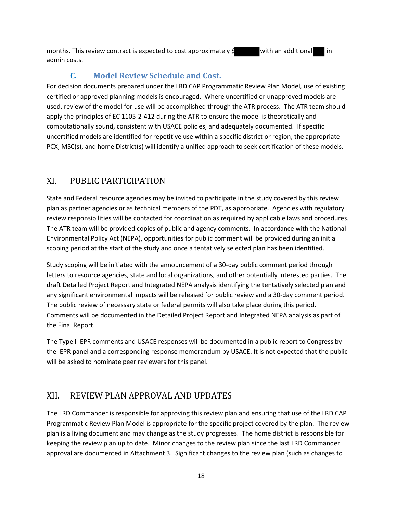months. This review contract is expected to cost approximately  $\sharp$  with an additional in admin costs.

#### **C. Model Review Schedule and Cost.**

For decision documents prepared under the LRD CAP Programmatic Review Plan Model, use of existing certified or approved planning models is encouraged. Where uncertified or unapproved models are used, review of the model for use will be accomplished through the ATR process. The ATR team should apply the principles of EC 1105-2-412 during the ATR to ensure the model is theoretically and computationally sound, consistent with USACE policies, and adequately documented. If specific uncertified models are identified for repetitive use within a specific district or region, the appropriate PCX, MSC(s), and home District(s) will identify a unified approach to seek certification of these models.

#### <span id="page-19-0"></span>XI. PUBLIC PARTICIPATION

State and Federal resource agencies may be invited to participate in the study covered by this review plan as partner agencies or as technical members of the PDT, as appropriate. Agencies with regulatory review responsibilities will be contacted for coordination as required by applicable laws and procedures. The ATR team will be provided copies of public and agency comments. In accordance with the National Environmental Policy Act (NEPA), opportunities for public comment will be provided during an initial scoping period at the start of the study and once a tentatively selected plan has been identified.

Study scoping will be initiated with the announcement of a 30-day public comment period through letters to resource agencies, state and local organizations, and other potentially interested parties. The draft Detailed Project Report and Integrated NEPA analysis identifying the tentatively selected plan and any significant environmental impacts will be released for public review and a 30-day comment period. The public review of necessary state or federal permits will also take place during this period. Comments will be documented in the Detailed Project Report and Integrated NEPA analysis as part of the Final Report.

The Type I IEPR comments and USACE responses will be documented in a public report to Congress by the IEPR panel and a corresponding response memorandum by USACE. It is not expected that the public will be asked to nominate peer reviewers for this panel.

#### <span id="page-19-1"></span>XII. REVIEW PLAN APPROVAL AND UPDATES

The LRD Commander is responsible for approving this review plan and ensuring that use of the LRD CAP Programmatic Review Plan Model is appropriate for the specific project covered by the plan. The review plan is a living document and may change as the study progresses. The home district is responsible for keeping the review plan up to date. Minor changes to the review plan since the last LRD Commander approval are documented in Attachment 3. Significant changes to the review plan (such as changes to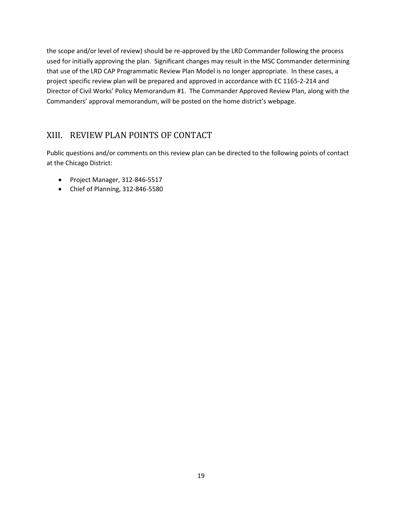the scope and/or level of review) should be re-approved by the LRD Commander following the process used for initially approving the plan. Significant changes may result in the MSC Commander determining that use of the LRD CAP Programmatic Review Plan Model is no longer appropriate. In these cases, a project specific review plan will be prepared and approved in accordance with EC 1165-2-214 and Director of Civil Works' Policy Memorandum #1. The Commander Approved Review Plan, along with the Commanders' approval memorandum, will be posted on the home district's webpage.

## <span id="page-20-0"></span>XIII. REVIEW PLAN POINTS OF CONTACT

Public questions and/or comments on this review plan can be directed to the following points of contact at the Chicago District:

- Project Manager, 312-846-5517
- Chief of Planning, 312-846-5580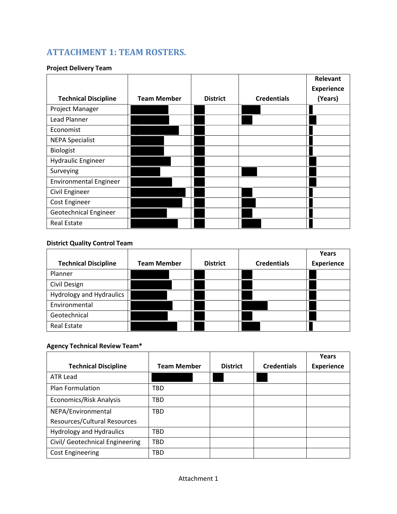# **ATTACHMENT 1: TEAM ROSTERS.**

#### **Project Delivery Team**

|                               |                    |                 |                    | Relevant          |
|-------------------------------|--------------------|-----------------|--------------------|-------------------|
|                               |                    |                 |                    | <b>Experience</b> |
| <b>Technical Discipline</b>   | <b>Team Member</b> | <b>District</b> | <b>Credentials</b> | (Years)           |
| Project Manager               |                    |                 |                    |                   |
| Lead Planner                  |                    |                 |                    |                   |
| Economist                     |                    |                 |                    |                   |
| <b>NEPA Specialist</b>        |                    |                 |                    |                   |
| Biologist                     |                    |                 |                    |                   |
| <b>Hydraulic Engineer</b>     |                    |                 |                    |                   |
| Surveying                     |                    |                 |                    |                   |
| <b>Environmental Engineer</b> |                    |                 |                    |                   |
| Civil Engineer                |                    |                 |                    |                   |
| Cost Engineer                 |                    |                 |                    |                   |
| Geotechnical Engineer         |                    |                 |                    |                   |
| <b>Real Estate</b>            |                    |                 |                    |                   |

#### **District Quality Control Team**

| <b>Technical Discipline</b> | <b>Team Member</b> | <b>District</b> | <b>Credentials</b> | Years<br><b>Experience</b> |
|-----------------------------|--------------------|-----------------|--------------------|----------------------------|
| Planner                     |                    |                 |                    |                            |
| Civil Design                |                    |                 |                    |                            |
| Hydrology and Hydraulics    |                    |                 |                    |                            |
| Environmental               |                    |                 |                    |                            |
| Geotechnical                |                    |                 |                    |                            |
| <b>Real Estate</b>          |                    |                 |                    |                            |

#### **Agency Technical Review Team\***

|                                 |                    |                 |                    | Years             |
|---------------------------------|--------------------|-----------------|--------------------|-------------------|
| <b>Technical Discipline</b>     | <b>Team Member</b> | <b>District</b> | <b>Credentials</b> | <b>Experience</b> |
| ATR Lead                        |                    |                 |                    |                   |
| <b>Plan Formulation</b>         | TBD                |                 |                    |                   |
| Economics/Risk Analysis         | TBD                |                 |                    |                   |
| NEPA/Environmental              | <b>TBD</b>         |                 |                    |                   |
| Resources/Cultural Resources    |                    |                 |                    |                   |
| <b>Hydrology and Hydraulics</b> | TBD                |                 |                    |                   |
| Civil/ Geotechnical Engineering | TBD                |                 |                    |                   |
| <b>Cost Engineering</b>         | TBD                |                 |                    |                   |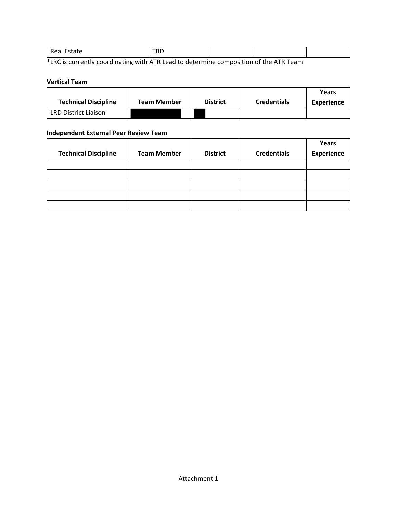|  | -----<br>-Re<br>au. | — n r<br>ᇝ |  |  |  |
|--|---------------------|------------|--|--|--|
|--|---------------------|------------|--|--|--|

\*LRC is currently coordinating with ATR Lead to determine composition of the ATR Team

#### **Vertical Team**

|                             |             |                 |                    | Years      |
|-----------------------------|-------------|-----------------|--------------------|------------|
| <b>Technical Discipline</b> | Team Member | <b>District</b> | <b>Credentials</b> | Experience |
| <b>LRD District Liaison</b> |             |                 |                    |            |

#### **Independent External Peer Review Team**

|                             |                    |                 |                    | Years             |
|-----------------------------|--------------------|-----------------|--------------------|-------------------|
| <b>Technical Discipline</b> | <b>Team Member</b> | <b>District</b> | <b>Credentials</b> | <b>Experience</b> |
|                             |                    |                 |                    |                   |
|                             |                    |                 |                    |                   |
|                             |                    |                 |                    |                   |
|                             |                    |                 |                    |                   |
|                             |                    |                 |                    |                   |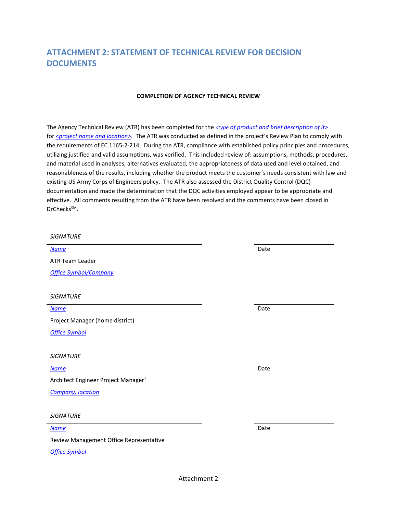### **ATTACHMENT 2: STATEMENT OF TECHNICAL REVIEW FOR DECISION DOCUMENTS**

#### **COMPLETION OF AGENCY TECHNICAL REVIEW**

The Agency Technical Review (ATR) has been completed for the *<type of product and brief description of it>* for *<project name and location>*. The ATR was conducted as defined in the project's Review Plan to comply with the requirements of EC 1165-2-214. During the ATR, compliance with established policy principles and procedures, utilizing justified and valid assumptions, was verified. This included review of: assumptions, methods, procedures, and material used in analyses, alternatives evaluated, the appropriateness of data used and level obtained, and reasonableness of the results, including whether the product meets the customer's needs consistent with law and existing US Army Corps of Engineers policy. The ATR also assessed the District Quality Control (DQC) documentation and made the determination that the DQC activities employed appear to be appropriate and effective. All comments resulting from the ATR have been resolved and the comments have been closed in DrChecks<sup>SM</sup>.

| <b>SIGNATURE</b>                                |      |
|-------------------------------------------------|------|
| <b>Name</b>                                     | Date |
| <b>ATR Team Leader</b>                          |      |
| <b>Office Symbol/Company</b>                    |      |
|                                                 |      |
| <b>SIGNATURE</b>                                |      |
| <b>Name</b>                                     | Date |
| Project Manager (home district)                 |      |
| <b>Office Symbol</b>                            |      |
|                                                 |      |
| <b>SIGNATURE</b>                                |      |
| <b>Name</b>                                     | Date |
| Architect Engineer Project Manager <sup>1</sup> |      |
| <b>Company, location</b>                        |      |
|                                                 |      |
| <b>SIGNATURE</b>                                |      |
| <b>Name</b>                                     | Date |
| Review Management Office Representative         |      |
| <b>Office Symbol</b>                            |      |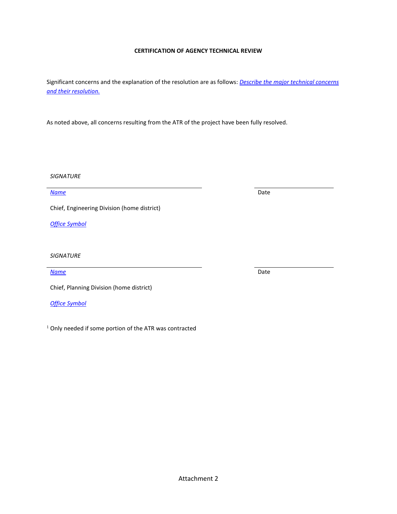#### Attachment 2

Significant concerns and the explanation of the resolution are as follows: *Describe the major technical concerns and their resolution.*

**CERTIFICATION OF AGENCY TECHNICAL REVIEW**

As noted above, all concerns resulting from the ATR of the project have been fully resolved.

*SIGNATURE*

*Name* Date

Chief, Engineering Division (home district)

*Office Symbol*

*SIGNATURE*

*Name* Date

Chief, Planning Division (home district)

*Office Symbol*

<sup>1</sup> Only needed if some portion of the ATR was contracted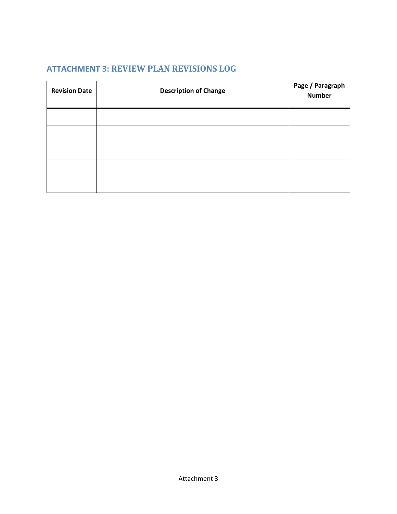# **ATTACHMENT 3: REVIEW PLAN REVISIONS LOG**

| <b>Revision Date</b> | <b>Description of Change</b> | Page / Paragraph<br><b>Number</b> |
|----------------------|------------------------------|-----------------------------------|
|                      |                              |                                   |
|                      |                              |                                   |
|                      |                              |                                   |
|                      |                              |                                   |
|                      |                              |                                   |